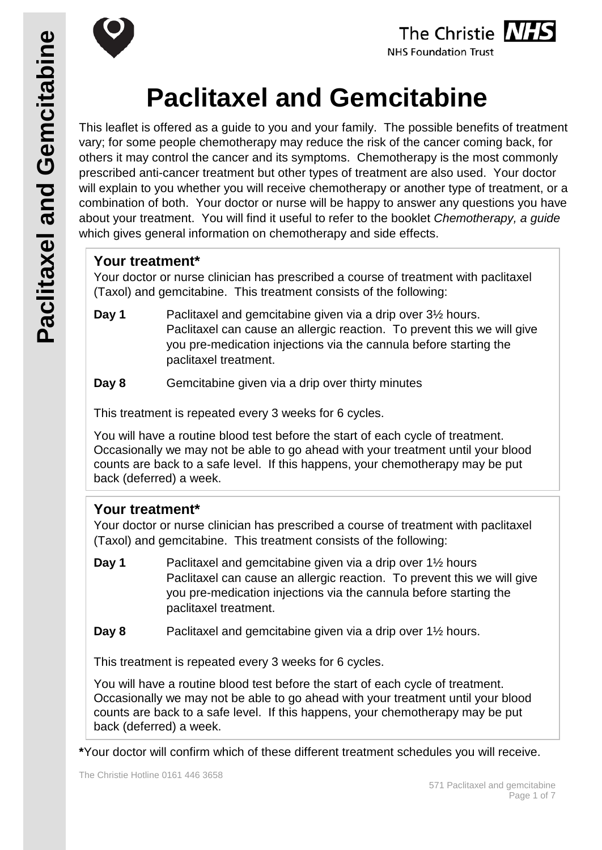



# **Paclitaxel and Gemcitabine**

This leaflet is offered as a guide to you and your family. The possible benefits of treatment vary; for some people chemotherapy may reduce the risk of the cancer coming back, for others it may control the cancer and its symptoms. Chemotherapy is the most commonly prescribed anti-cancer treatment but other types of treatment are also used. Your doctor will explain to you whether you will receive chemotherapy or another type of treatment, or a combination of both. Your doctor or nurse will be happy to answer any questions you have about your treatment. You will find it useful to refer to the booklet *Chemotherapy, a guide* which gives general information on chemotherapy and side effects.

## **Your treatment\***

Your doctor or nurse clinician has prescribed a course of treatment with paclitaxel (Taxol) and gemcitabine. This treatment consists of the following:

**Day 1** Paclitaxel and gemcitabine given via a drip over 3<sup>1/2</sup> hours. Paclitaxel can cause an allergic reaction. To prevent this we will give you pre-medication injections via the cannula before starting the paclitaxel treatment.

#### **Day 8** Gemcitabine given via a drip over thirty minutes

This treatment is repeated every 3 weeks for 6 cycles.

You will have a routine blood test before the start of each cycle of treatment. Occasionally we may not be able to go ahead with your treatment until your blood counts are back to a safe level. If this happens, your chemotherapy may be put back (deferred) a week.

# **Your treatment\***

Your doctor or nurse clinician has prescribed a course of treatment with paclitaxel (Taxol) and gemcitabine. This treatment consists of the following:

- **Day 1** Paclitaxel and gemcitabine given via a drip over 1<sup>1/2</sup> hours Paclitaxel can cause an allergic reaction. To prevent this we will give you pre-medication injections via the cannula before starting the paclitaxel treatment.
- **Day 8** Paclitaxel and gemcitabine given via a drip over 1½ hours.

This treatment is repeated every 3 weeks for 6 cycles.

You will have a routine blood test before the start of each cycle of treatment. Occasionally we may not be able to go ahead with your treatment until your blood counts are back to a safe level. If this happens, your chemotherapy may be put back (deferred) a week.

**\***Your doctor will confirm which of these different treatment schedules you will receive.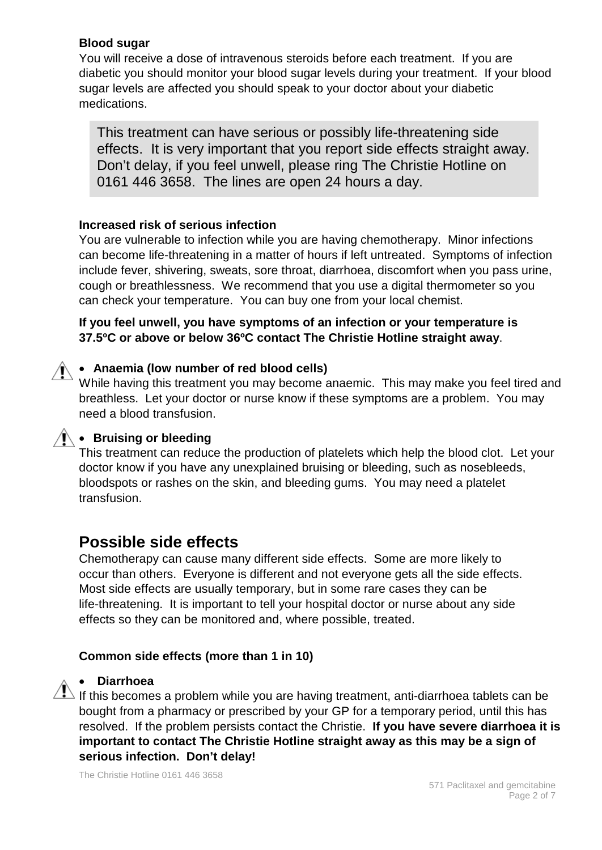#### **Blood sugar**

You will receive a dose of intravenous steroids before each treatment. If you are diabetic you should monitor your blood sugar levels during your treatment. If your blood sugar levels are affected you should speak to your doctor about your diabetic medications.

This treatment can have serious or possibly life-threatening side effects. It is very important that you report side effects straight away. Don't delay, if you feel unwell, please ring The Christie Hotline on 0161 446 3658. The lines are open 24 hours a day.

#### **Increased risk of serious infection**

You are vulnerable to infection while you are having chemotherapy. Minor infections can become life-threatening in a matter of hours if left untreated. Symptoms of infection include fever, shivering, sweats, sore throat, diarrhoea, discomfort when you pass urine, cough or breathlessness. We recommend that you use a digital thermometer so you can check your temperature. You can buy one from your local chemist.

**If you feel unwell, you have symptoms of an infection or your temperature is 37.5ºC or above or below 36ºC contact The Christie Hotline straight away**.

#### • **Anaemia (low number of red blood cells)**

While having this treatment you may become anaemic. This may make you feel tired and breathless. Let your doctor or nurse know if these symptoms are a problem. You may need a blood transfusion.

#### • **Bruising or bleeding**

This treatment can reduce the production of platelets which help the blood clot. Let your doctor know if you have any unexplained bruising or bleeding, such as nosebleeds, bloodspots or rashes on the skin, and bleeding gums. You may need a platelet transfusion.

# **Possible side effects**

Chemotherapy can cause many different side effects. Some are more likely to occur than others. Everyone is different and not everyone gets all the side effects. Most side effects are usually temporary, but in some rare cases they can be life-threatening. It is important to tell your hospital doctor or nurse about any side effects so they can be monitored and, where possible, treated.

#### **Common side effects (more than 1 in 10)**

#### • **Diarrhoea**

 $\sqrt{!}$  If this becomes a problem while you are having treatment, anti-diarrhoea tablets can be bought from a pharmacy or prescribed by your GP for a temporary period, until this has resolved. If the problem persists contact the Christie. **If you have severe diarrhoea it is important to contact The Christie Hotline straight away as this may be a sign of serious infection. Don't delay!**

The Christie Hotline 0161 446 3658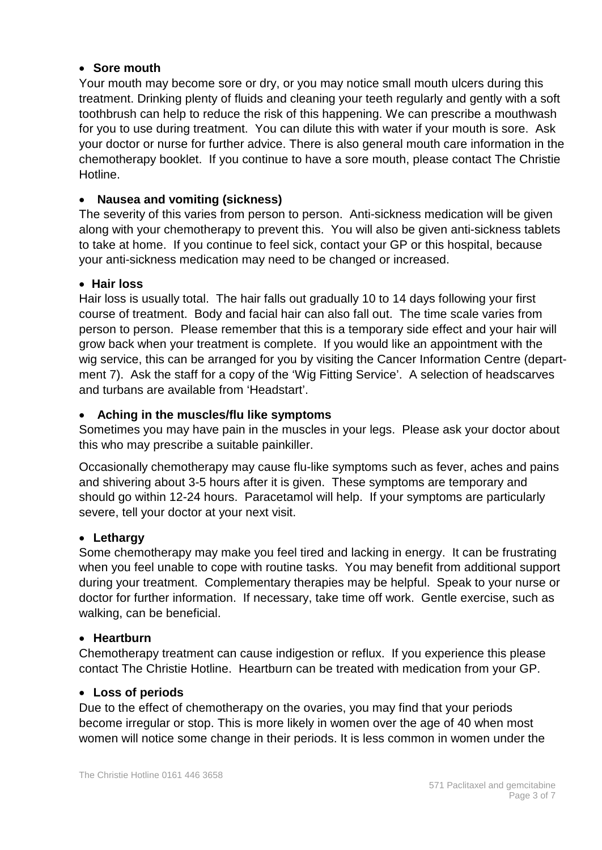#### • **Sore mouth**

Your mouth may become sore or dry, or you may notice small mouth ulcers during this treatment. Drinking plenty of fluids and cleaning your teeth regularly and gently with a soft toothbrush can help to reduce the risk of this happening. We can prescribe a mouthwash for you to use during treatment. You can dilute this with water if your mouth is sore. Ask your doctor or nurse for further advice. There is also general mouth care information in the chemotherapy booklet. If you continue to have a sore mouth, please contact The Christie Hotline.

#### • **Nausea and vomiting (sickness)**

The severity of this varies from person to person. Anti-sickness medication will be given along with your chemotherapy to prevent this. You will also be given anti-sickness tablets to take at home. If you continue to feel sick, contact your GP or this hospital, because your anti-sickness medication may need to be changed or increased.

#### • **Hair loss**

Hair loss is usually total. The hair falls out gradually 10 to 14 days following your first course of treatment. Body and facial hair can also fall out. The time scale varies from person to person. Please remember that this is a temporary side effect and your hair will grow back when your treatment is complete. If you would like an appointment with the wig service, this can be arranged for you by visiting the Cancer Information Centre (department 7). Ask the staff for a copy of the 'Wig Fitting Service'. A selection of headscarves and turbans are available from 'Headstart'.

#### • **Aching in the muscles/flu like symptoms**

Sometimes you may have pain in the muscles in your legs. Please ask your doctor about this who may prescribe a suitable painkiller.

Occasionally chemotherapy may cause flu-like symptoms such as fever, aches and pains and shivering about 3-5 hours after it is given. These symptoms are temporary and should go within 12-24 hours. Paracetamol will help. If your symptoms are particularly severe, tell your doctor at your next visit.

#### • **Lethargy**

Some chemotherapy may make you feel tired and lacking in energy. It can be frustrating when you feel unable to cope with routine tasks. You may benefit from additional support during your treatment. Complementary therapies may be helpful. Speak to your nurse or doctor for further information. If necessary, take time off work. Gentle exercise, such as walking, can be beneficial.

#### • **Heartburn**

Chemotherapy treatment can cause indigestion or reflux. If you experience this please contact The Christie Hotline. Heartburn can be treated with medication from your GP.

#### • **Loss of periods**

Due to the effect of chemotherapy on the ovaries, you may find that your periods become irregular or stop. This is more likely in women over the age of 40 when most women will notice some change in their periods. It is less common in women under the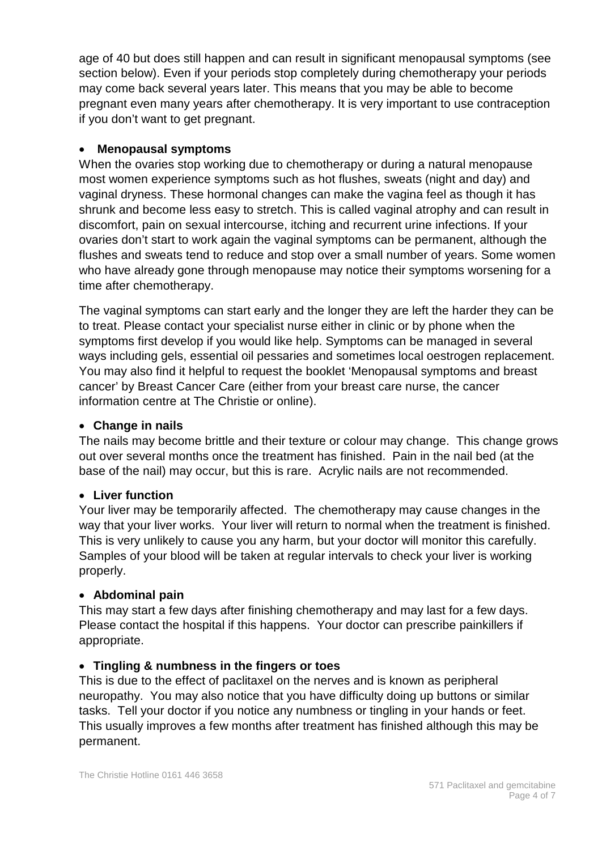age of 40 but does still happen and can result in significant menopausal symptoms (see section below). Even if your periods stop completely during chemotherapy your periods may come back several years later. This means that you may be able to become pregnant even many years after chemotherapy. It is very important to use contraception if you don't want to get pregnant.

#### • **Menopausal symptoms**

When the ovaries stop working due to chemotherapy or during a natural menopause most women experience symptoms such as hot flushes, sweats (night and day) and vaginal dryness. These hormonal changes can make the vagina feel as though it has shrunk and become less easy to stretch. This is called vaginal atrophy and can result in discomfort, pain on sexual intercourse, itching and recurrent urine infections. If your ovaries don't start to work again the vaginal symptoms can be permanent, although the flushes and sweats tend to reduce and stop over a small number of years. Some women who have already gone through menopause may notice their symptoms worsening for a time after chemotherapy.

The vaginal symptoms can start early and the longer they are left the harder they can be to treat. Please contact your specialist nurse either in clinic or by phone when the symptoms first develop if you would like help. Symptoms can be managed in several ways including gels, essential oil pessaries and sometimes local oestrogen replacement. You may also find it helpful to request the booklet 'Menopausal symptoms and breast cancer' by Breast Cancer Care (either from your breast care nurse, the cancer information centre at The Christie or online).

#### • **Change in nails**

The nails may become brittle and their texture or colour may change. This change grows out over several months once the treatment has finished. Pain in the nail bed (at the base of the nail) may occur, but this is rare. Acrylic nails are not recommended.

#### • **Liver function**

Your liver may be temporarily affected. The chemotherapy may cause changes in the way that your liver works. Your liver will return to normal when the treatment is finished. This is very unlikely to cause you any harm, but your doctor will monitor this carefully. Samples of your blood will be taken at regular intervals to check your liver is working properly.

#### • **Abdominal pain**

This may start a few days after finishing chemotherapy and may last for a few days. Please contact the hospital if this happens. Your doctor can prescribe painkillers if appropriate.

#### • **Tingling & numbness in the fingers or toes**

This is due to the effect of paclitaxel on the nerves and is known as peripheral neuropathy. You may also notice that you have difficulty doing up buttons or similar tasks. Tell your doctor if you notice any numbness or tingling in your hands or feet. This usually improves a few months after treatment has finished although this may be permanent.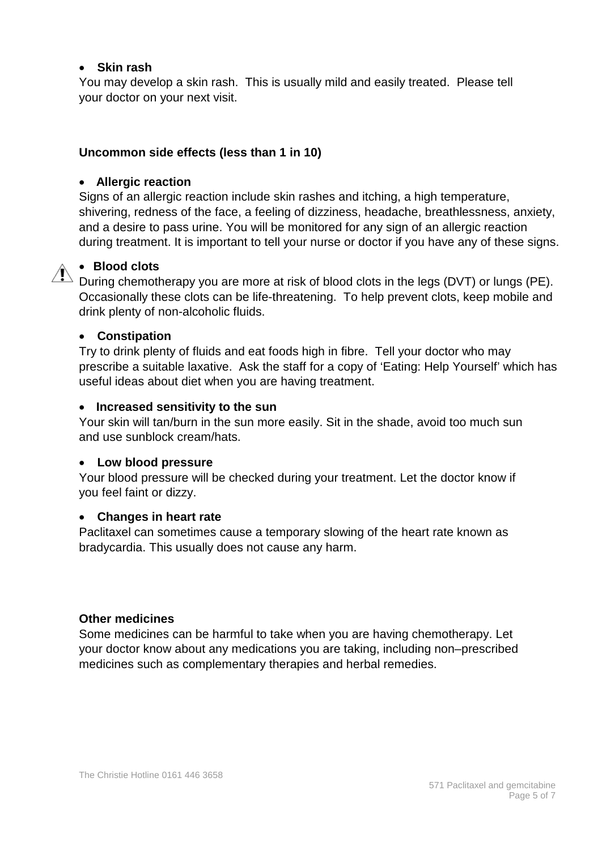#### • **Skin rash**

You may develop a skin rash. This is usually mild and easily treated. Please tell your doctor on your next visit.

#### **Uncommon side effects (less than 1 in 10)**

#### • **Allergic reaction**

Signs of an allergic reaction include skin rashes and itching, a high temperature, shivering, redness of the face, a feeling of dizziness, headache, breathlessness, anxiety, and a desire to pass urine. You will be monitored for any sign of an allergic reaction during treatment. It is important to tell your nurse or doctor if you have any of these signs.

#### • **Blood clots**

During chemotherapy you are more at risk of blood clots in the legs (DVT) or lungs (PE). Occasionally these clots can be life-threatening. To help prevent clots, keep mobile and drink plenty of non-alcoholic fluids.

#### • **Constipation**

Try to drink plenty of fluids and eat foods high in fibre. Tell your doctor who may prescribe a suitable laxative. Ask the staff for a copy of 'Eating: Help Yourself' which has useful ideas about diet when you are having treatment.

#### • **Increased sensitivity to the sun**

Your skin will tan/burn in the sun more easily. Sit in the shade, avoid too much sun and use sunblock cream/hats.

#### • **Low blood pressure**

Your blood pressure will be checked during your treatment. Let the doctor know if you feel faint or dizzy.

#### • **Changes in heart rate**

Paclitaxel can sometimes cause a temporary slowing of the heart rate known as bradycardia. This usually does not cause any harm.

#### **Other medicines**

Some medicines can be harmful to take when you are having chemotherapy. Let your doctor know about any medications you are taking, including non–prescribed medicines such as complementary therapies and herbal remedies.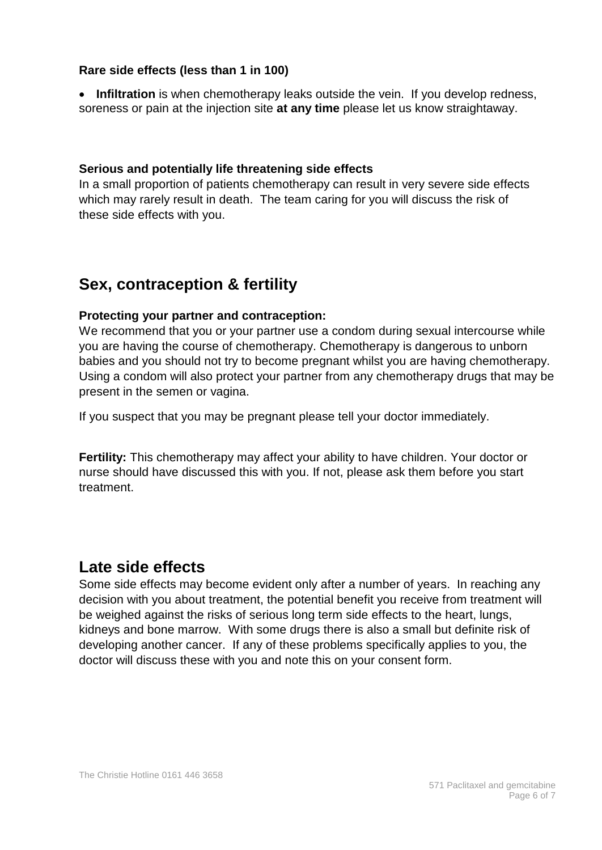#### **Rare side effects (less than 1 in 100)**

• **Infiltration** is when chemotherapy leaks outside the vein. If you develop redness, soreness or pain at the injection site **at any time** please let us know straightaway.

#### **Serious and potentially life threatening side effects**

In a small proportion of patients chemotherapy can result in very severe side effects which may rarely result in death. The team caring for you will discuss the risk of these side effects with you.

# **Sex, contraception & fertility**

#### **Protecting your partner and contraception:**

We recommend that you or your partner use a condom during sexual intercourse while you are having the course of chemotherapy. Chemotherapy is dangerous to unborn babies and you should not try to become pregnant whilst you are having chemotherapy. Using a condom will also protect your partner from any chemotherapy drugs that may be present in the semen or vagina.

If you suspect that you may be pregnant please tell your doctor immediately.

**Fertility:** This chemotherapy may affect your ability to have children. Your doctor or nurse should have discussed this with you. If not, please ask them before you start treatment.

# **Late side effects**

Some side effects may become evident only after a number of years. In reaching any decision with you about treatment, the potential benefit you receive from treatment will be weighed against the risks of serious long term side effects to the heart, lungs, kidneys and bone marrow. With some drugs there is also a small but definite risk of developing another cancer. If any of these problems specifically applies to you, the doctor will discuss these with you and note this on your consent form.